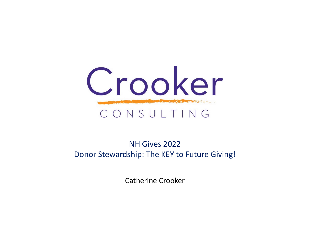

### NH Gives 2022 Donor Stewardship: The KEY to Future Giving!

Catherine Crooker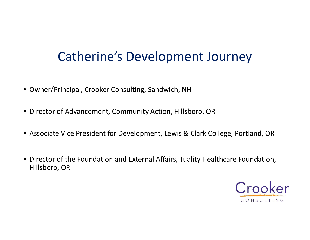## Catherine's Development Journey

- Owner/Principal, Crooker Consulting, Sandwich, NH
- Director of Advancement, Community Action, Hillsboro, OR
- Associate Vice President for Development, Lewis & Clark College, Portland, OR
- Owner/Principal, Crooker Consulting, Sandwich, NH<br>• Director of Advancement, Community Action, Hillsboro, OR<br>• Associate Vice President for Development, Lewis & Clark College, Portland, OR<br>• Director of the Foundation an Hillsboro, OR

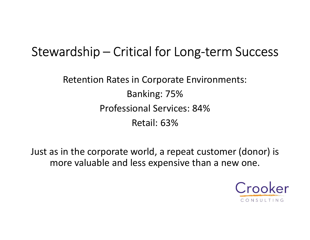# Stewardship – Critical for Long-term Success

Retention Rates in Corporate Environments: Banking: 75% Professional Services: 84% Retail: 63%

Just as in the corporate world, a repeat customer (donor) is more valuable and less expensive than a new one.

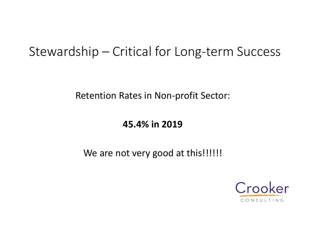# Stewardship – Critical for Long-term Success

Retention Rates in Non-profit Sector:

### 45.4% in 2019

### We are not very good at this!!!!!!!

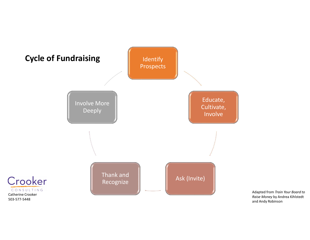

Adapted from Train Your Board to Raise Money by Andrea Kihlstedt and Andy Robinson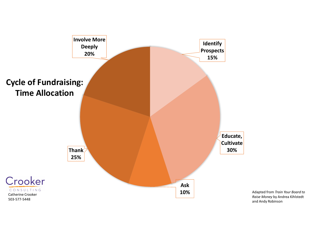

Raise Money by Andrea Kihlstedt and Andy Robinson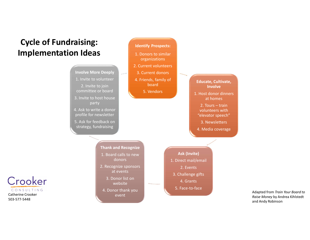### Cycle of Fundraising: Implementation Ideas

Catherine Crooker 503-577-5448

Crooker

CONSULTING



1. Donors to similar

Adapted from Train Your Board to Raise Money by Andrea Kihlstedt and Andy Robinson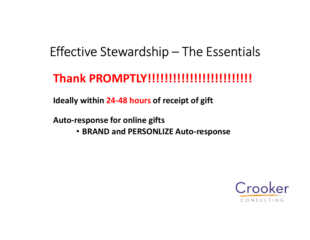# Effective Stewardship – The Essentials<br>
Thank PROMPTLY!!!!!!!!!!!!!!!!!!!!!!!!

## Thank PROMPTLY!!!!!!!!!!!!!!!!!!!!!!!!!

Ideally within 24-48 hours of receipt of gift

Auto-response for online gifts

• BRAND and PERSONLIZE Auto-response

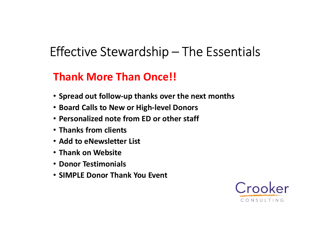# Effective Stewardship – The Essentials<br> **Thank More Than Once!!** Effective Stewardship — The E:<br>Thank More Than Once!!<br>• Spread out follow-up thanks over the next m<br>• Board Calls to New or High-level Donors<br>• Personalized note from ED or other staff<br>• Thanks from clients<br>• Add to eNewsl Fifective Stewardship — The Essentials<br> **Thank More Than Once!!**<br>
• Spread out follow-up thanks over the next months<br>
• Board Calls to New or High-level Donors<br>
• Personalized note from ED or other staff<br>
• Thanks from cli

## Thank More Than Once!!

- Spread out follow-up thanks over the next months
- Board Calls to New or High-level Donors
- Personalized note from ED or other staff
- 
- 
- Thank on Website
- Donor Testimonials
- SIMPLE Donor Thank You Event

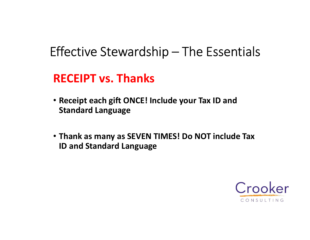# Effective Stewardship – The Essentials<br>
RECEIPT vs. Thanks

## RECEIPT vs. Thanks

- Receipt each gift ONCE! Include your Tax ID and Standard Language
- Thank as many as SEVEN TIMES! Do NOT include Tax ID and Standard Language

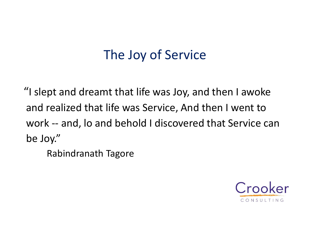# The Joy of Service

"I slept and dreamt that life was Joy, and then I awoke and realized that life was Service, And then I went to The Joy of Service<br>
"I slept and dreamt that life was Joy, and then I awoke<br>
and realized that life was Service, And then I went to<br>
work -- and, Io and behold I discovered that Service can<br>
be Joy."<br>
Behindranath Tagore be Joy."

Rabindranath Tagore